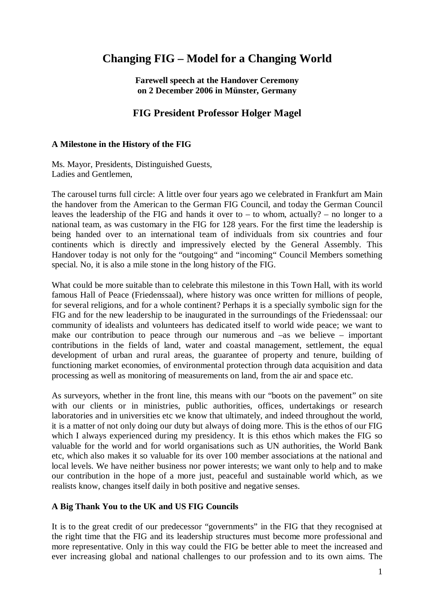# **Changing FIG – Model for a Changing World**

**Farewell speech at the Handover Ceremony on 2 December 2006 in Münster, Germany** 

## **FIG President Professor Holger Magel**

#### **A Milestone in the History of the FIG**

Ms. Mayor, Presidents, Distinguished Guests, Ladies and Gentlemen,

The carousel turns full circle: A little over four years ago we celebrated in Frankfurt am Main the handover from the American to the German FIG Council, and today the German Council leaves the leadership of the FIG and hands it over to – to whom, actually? – no longer to a national team, as was customary in the FIG for 128 years. For the first time the leadership is being handed over to an international team of individuals from six countries and four continents which is directly and impressively elected by the General Assembly. This Handover today is not only for the "outgoing" and "incoming" Council Members something special. No, it is also a mile stone in the long history of the FIG.

What could be more suitable than to celebrate this milestone in this Town Hall, with its world famous Hall of Peace (Friedenssaal), where history was once written for millions of people, for several religions, and for a whole continent? Perhaps it is a specially symbolic sign for the FIG and for the new leadership to be inaugurated in the surroundings of the Friedenssaal: our community of idealists and volunteers has dedicated itself to world wide peace; we want to make our contribution to peace through our numerous and –as we believe – important contributions in the fields of land, water and coastal management, settlement, the equal development of urban and rural areas, the guarantee of property and tenure, building of functioning market economies, of environmental protection through data acquisition and data processing as well as monitoring of measurements on land, from the air and space etc.

As surveyors, whether in the front line, this means with our "boots on the pavement" on site with our clients or in ministries, public authorities, offices, undertakings or research laboratories and in universities etc we know that ultimately, and indeed throughout the world, it is a matter of not only doing our duty but always of doing more. This is the ethos of our FIG which I always experienced during my presidency. It is this ethos which makes the FIG so valuable for the world and for world organisations such as UN authorities, the World Bank etc, which also makes it so valuable for its over 100 member associations at the national and local levels. We have neither business nor power interests; we want only to help and to make our contribution in the hope of a more just, peaceful and sustainable world which, as we realists know, changes itself daily in both positive and negative senses.

#### **A Big Thank You to the UK and US FIG Councils**

It is to the great credit of our predecessor "governments" in the FIG that they recognised at the right time that the FIG and its leadership structures must become more professional and more representative. Only in this way could the FIG be better able to meet the increased and ever increasing global and national challenges to our profession and to its own aims. The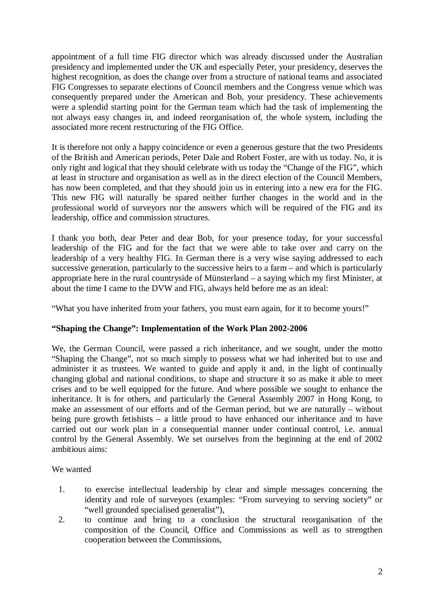appointment of a full time FIG director which was already discussed under the Australian presidency and implemented under the UK and especially Peter, your presidency, deserves the highest recognition, as does the change over from a structure of national teams and associated FIG Congresses to separate elections of Council members and the Congress venue which was consequently prepared under the American and Bob, your presidency. These achievements were a splendid starting point for the German team which had the task of implementing the not always easy changes in, and indeed reorganisation of, the whole system, including the associated more recent restructuring of the FIG Office.

It is therefore not only a happy coincidence or even a generous gesture that the two Presidents of the British and American periods, Peter Dale and Robert Foster, are with us today. No, it is only right and logical that they should celebrate with us today the "Change of the FIG", which at least in structure and organisation as well as in the direct election of the Council Members, has now been completed, and that they should join us in entering into a new era for the FIG. This new FIG will naturally be spared neither further changes in the world and in the professional world of surveyors nor the answers which will be required of the FIG and its leadership, office and commission structures.

I thank you both, dear Peter and dear Bob, for your presence today, for your successful leadership of the FIG and for the fact that we were able to take over and carry on the leadership of a very healthy FIG. In German there is a very wise saying addressed to each successive generation, particularly to the successive heirs to a farm – and which is particularly appropriate here in the rural countryside of Münsterland – a saying which my first Minister, at about the time I came to the DVW and FIG, always held before me as an ideal:

"What you have inherited from your fathers, you must earn again, for it to become yours!"

## **"Shaping the Change": Implementation of the Work Plan 2002-2006**

We, the German Council, were passed a rich inheritance, and we sought, under the motto "Shaping the Change", not so much simply to possess what we had inherited but to use and administer it as trustees. We wanted to guide and apply it and, in the light of continually changing global and national conditions, to shape and structure it so as make it able to meet crises and to be well equipped for the future. And where possible we sought to enhance the inheritance. It is for others, and particularly the General Assembly 2007 in Hong Kong, to make an assessment of our efforts and of the German period, but we are naturally – without being pure growth fetishists – a little proud to have enhanced our inheritance and to have carried out our work plan in a consequential manner under continual control, i.e. annual control by the General Assembly. We set ourselves from the beginning at the end of 2002 ambitious aims:

We wanted

- 1. to exercise intellectual leadership by clear and simple messages concerning the identity and role of surveyors (examples: "From surveying to serving society" or "well grounded specialised generalist"),
- 2. to continue and bring to a conclusion the structural reorganisation of the composition of the Council, Office and Commissions as well as to strengthen cooperation between the Commissions,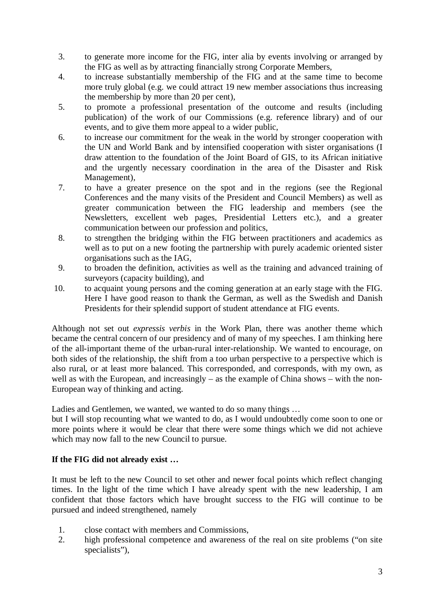- 3. to generate more income for the FIG, inter alia by events involving or arranged by the FIG as well as by attracting financially strong Corporate Members,
- 4. to increase substantially membership of the FIG and at the same time to become more truly global (e.g. we could attract 19 new member associations thus increasing the membership by more than 20 per cent),
- 5. to promote a professional presentation of the outcome and results (including publication) of the work of our Commissions (e.g. reference library) and of our events, and to give them more appeal to a wider public,
- 6. to increase our commitment for the weak in the world by stronger cooperation with the UN and World Bank and by intensified cooperation with sister organisations (I draw attention to the foundation of the Joint Board of GIS, to its African initiative and the urgently necessary coordination in the area of the Disaster and Risk Management),
- 7. to have a greater presence on the spot and in the regions (see the Regional Conferences and the many visits of the President and Council Members) as well as greater communication between the FIG leadership and members (see the Newsletters, excellent web pages, Presidential Letters etc.), and a greater communication between our profession and politics,
- 8. to strengthen the bridging within the FIG between practitioners and academics as well as to put on a new footing the partnership with purely academic oriented sister organisations such as the IAG,
- 9. to broaden the definition, activities as well as the training and advanced training of surveyors (capacity building), and
- 10. to acquaint young persons and the coming generation at an early stage with the FIG. Here I have good reason to thank the German, as well as the Swedish and Danish Presidents for their splendid support of student attendance at FIG events.

Although not set out *expressis verbis* in the Work Plan, there was another theme which became the central concern of our presidency and of many of my speeches. I am thinking here of the all-important theme of the urban-rural inter-relationship. We wanted to encourage, on both sides of the relationship, the shift from a too urban perspective to a perspective which is also rural, or at least more balanced. This corresponded, and corresponds, with my own, as well as with the European, and increasingly – as the example of China shows – with the non-European way of thinking and acting.

Ladies and Gentlemen, we wanted, we wanted to do so many things …

but I will stop recounting what we wanted to do, as I would undoubtedly come soon to one or more points where it would be clear that there were some things which we did not achieve which may now fall to the new Council to pursue.

## **If the FIG did not already exist …**

It must be left to the new Council to set other and newer focal points which reflect changing times. In the light of the time which I have already spent with the new leadership, I am confident that those factors which have brought success to the FIG will continue to be pursued and indeed strengthened, namely

- 1. close contact with members and Commissions,
- 2. high professional competence and awareness of the real on site problems ("on site specialists"),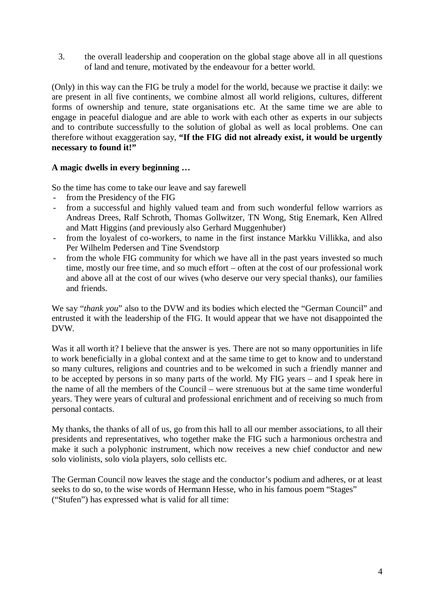3. the overall leadership and cooperation on the global stage above all in all questions of land and tenure, motivated by the endeavour for a better world.

(Only) in this way can the FIG be truly a model for the world, because we practise it daily: we are present in all five continents, we combine almost all world religions, cultures, different forms of ownership and tenure, state organisations etc. At the same time we are able to engage in peaceful dialogue and are able to work with each other as experts in our subjects and to contribute successfully to the solution of global as well as local problems. One can therefore without exaggeration say, **"If the FIG did not already exist, it would be urgently necessary to found it!"** 

## **A magic dwells in every beginning …**

So the time has come to take our leave and say farewell

- from the Presidency of the FIG
- from a successful and highly valued team and from such wonderful fellow warriors as Andreas Drees, Ralf Schroth, Thomas Gollwitzer, TN Wong, Stig Enemark, Ken Allred and Matt Higgins (and previously also Gerhard Muggenhuber)
- from the loyalest of co-workers, to name in the first instance Markku Villikka, and also Per Wilhelm Pedersen and Tine Svendstorp
- from the whole FIG community for which we have all in the past years invested so much time, mostly our free time, and so much effort – often at the cost of our professional work and above all at the cost of our wives (who deserve our very special thanks), our families and friends.

We say "*thank you*" also to the DVW and its bodies which elected the "German Council" and entrusted it with the leadership of the FIG. It would appear that we have not disappointed the DVW.

Was it all worth it? I believe that the answer is yes. There are not so many opportunities in life to work beneficially in a global context and at the same time to get to know and to understand so many cultures, religions and countries and to be welcomed in such a friendly manner and to be accepted by persons in so many parts of the world. My FIG years – and I speak here in the name of all the members of the Council – were strenuous but at the same time wonderful years. They were years of cultural and professional enrichment and of receiving so much from personal contacts.

My thanks, the thanks of all of us, go from this hall to all our member associations, to all their presidents and representatives, who together make the FIG such a harmonious orchestra and make it such a polyphonic instrument, which now receives a new chief conductor and new solo violinists, solo viola players, solo cellists etc.

The German Council now leaves the stage and the conductor's podium and adheres, or at least seeks to do so, to the wise words of Hermann Hesse, who in his famous poem "Stages" ("Stufen") has expressed what is valid for all time: